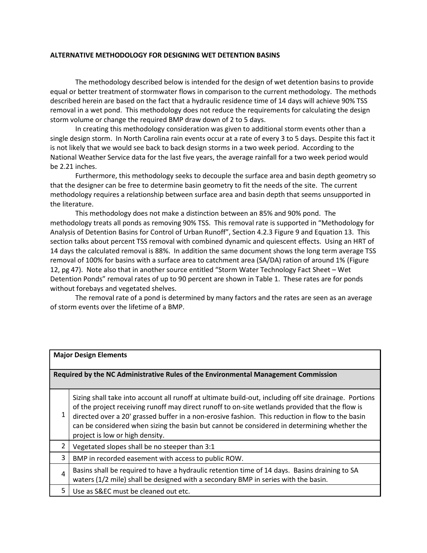## **ALTERNATIVE METHODOLOGY FOR DESIGNING WET DETENTION BASINS**

The methodology described below is intended for the design of wet detention basins to provide equal or better treatment of stormwater flows in comparison to the current methodology. The methods described herein are based on the fact that a hydraulic residence time of 14 days will achieve 90% TSS removal in a wet pond. This methodology does not reduce the requirements for calculating the design storm volume or change the required BMP draw down of 2 to 5 days.

In creating this methodology consideration was given to additional storm events other than a single design storm. In North Carolina rain events occur at a rate of every 3 to 5 days. Despite this fact it is not likely that we would see back to back design storms in a two week period. According to the National Weather Service data for the last five years, the average rainfall for a two week period would be 2.21 inches.

Furthermore, this methodology seeks to decouple the surface area and basin depth geometry so that the designer can be free to determine basin geometry to fit the needs of the site. The current methodology requires a relationship between surface area and basin depth that seems unsupported in the literature.

This methodology does not make a distinction between an 85% and 90% pond. The methodology treats all ponds as removing 90% TSS. This removal rate is supported in "Methodology for Analysis of Detention Basins for Control of Urban Runoff", Section 4.2.3 Figure 9 and Equation 13. This section talks about percent TSS removal with combined dynamic and quiescent effects. Using an HRT of 14 days the calculated removal is 88%. In addition the same document shows the long term average TSS removal of 100% for basins with a surface area to catchment area (SA/DA) ration of around 1% (Figure 12, pg 47). Note also that in another source entitled "Storm Water Technology Fact Sheet – Wet Detention Ponds" removal rates of up to 90 percent are shown in Table 1. These rates are for ponds without forebays and vegetated shelves.

The removal rate of a pond is determined by many factors and the rates are seen as an average of storm events over the lifetime of a BMP.

| <b>Major Design Elements</b>                                                       |                                                                                                                                                                                                                                                                                                                                                                                                                                                 |  |
|------------------------------------------------------------------------------------|-------------------------------------------------------------------------------------------------------------------------------------------------------------------------------------------------------------------------------------------------------------------------------------------------------------------------------------------------------------------------------------------------------------------------------------------------|--|
| Required by the NC Administrative Rules of the Environmental Management Commission |                                                                                                                                                                                                                                                                                                                                                                                                                                                 |  |
| 1                                                                                  | Sizing shall take into account all runoff at ultimate build-out, including off site drainage. Portions<br>of the project receiving runoff may direct runoff to on-site wetlands provided that the flow is<br>directed over a 20' grassed buffer in a non-erosive fashion. This reduction in flow to the basin<br>can be considered when sizing the basin but cannot be considered in determining whether the<br>project is low or high density. |  |
| 2                                                                                  | Vegetated slopes shall be no steeper than 3:1                                                                                                                                                                                                                                                                                                                                                                                                   |  |
| 3                                                                                  | BMP in recorded easement with access to public ROW.                                                                                                                                                                                                                                                                                                                                                                                             |  |
| $\overline{a}$                                                                     | Basins shall be required to have a hydraulic retention time of 14 days. Basins draining to SA<br>waters (1/2 mile) shall be designed with a secondary BMP in series with the basin.                                                                                                                                                                                                                                                             |  |
| 5.                                                                                 | Use as S&EC must be cleaned out etc.                                                                                                                                                                                                                                                                                                                                                                                                            |  |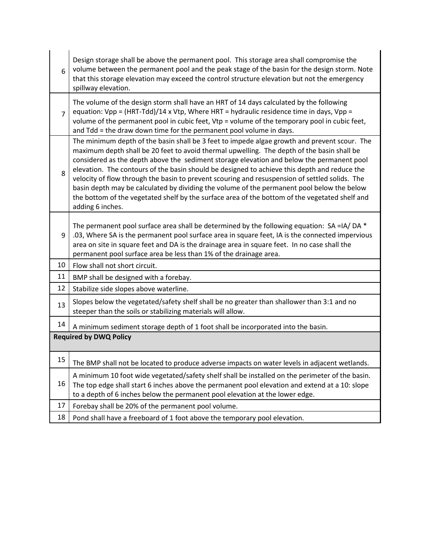| 6                             | Design storage shall be above the permanent pool. This storage area shall compromise the<br>volume between the permanent pool and the peak stage of the basin for the design storm. Note<br>that this storage elevation may exceed the control structure elevation but not the emergency<br>spillway elevation.                                                                                                                                                                                                                                                                                                                                                                                               |  |
|-------------------------------|---------------------------------------------------------------------------------------------------------------------------------------------------------------------------------------------------------------------------------------------------------------------------------------------------------------------------------------------------------------------------------------------------------------------------------------------------------------------------------------------------------------------------------------------------------------------------------------------------------------------------------------------------------------------------------------------------------------|--|
| $\overline{7}$                | The volume of the design storm shall have an HRT of 14 days calculated by the following<br>equation: Vpp = (HRT-Tdd)/14 x Vtp, Where HRT = hydraulic residence time in days, Vpp =<br>volume of the permanent pool in cubic feet, Vtp = volume of the temporary pool in cubic feet,<br>and Tdd = the draw down time for the permanent pool volume in days.                                                                                                                                                                                                                                                                                                                                                    |  |
| 8                             | The minimum depth of the basin shall be 3 feet to impede algae growth and prevent scour. The<br>maximum depth shall be 20 feet to avoid thermal upwelling. The depth of the basin shall be<br>considered as the depth above the sediment storage elevation and below the permanent pool<br>elevation. The contours of the basin should be designed to achieve this depth and reduce the<br>velocity of flow through the basin to prevent scouring and resuspension of settled solids. The<br>basin depth may be calculated by dividing the volume of the permanent pool below the below<br>the bottom of the vegetated shelf by the surface area of the bottom of the vegetated shelf and<br>adding 6 inches. |  |
| 9                             | The permanent pool surface area shall be determined by the following equation: $SA = IA / DA *$<br>.03, Where SA is the permanent pool surface area in square feet, IA is the connected impervious<br>area on site in square feet and DA is the drainage area in square feet. In no case shall the<br>permanent pool surface area be less than 1% of the drainage area.                                                                                                                                                                                                                                                                                                                                       |  |
| 10                            | Flow shall not short circuit.                                                                                                                                                                                                                                                                                                                                                                                                                                                                                                                                                                                                                                                                                 |  |
| 11                            | BMP shall be designed with a forebay.                                                                                                                                                                                                                                                                                                                                                                                                                                                                                                                                                                                                                                                                         |  |
| 12                            | Stabilize side slopes above waterline.                                                                                                                                                                                                                                                                                                                                                                                                                                                                                                                                                                                                                                                                        |  |
| 13                            | Slopes below the vegetated/safety shelf shall be no greater than shallower than 3:1 and no<br>steeper than the soils or stabilizing materials will allow.                                                                                                                                                                                                                                                                                                                                                                                                                                                                                                                                                     |  |
| 14                            | A minimum sediment storage depth of 1 foot shall be incorporated into the basin.                                                                                                                                                                                                                                                                                                                                                                                                                                                                                                                                                                                                                              |  |
| <b>Required by DWQ Policy</b> |                                                                                                                                                                                                                                                                                                                                                                                                                                                                                                                                                                                                                                                                                                               |  |
| 15                            | The BMP shall not be located to produce adverse impacts on water levels in adjacent wetlands.                                                                                                                                                                                                                                                                                                                                                                                                                                                                                                                                                                                                                 |  |
| 16                            | A minimum 10 foot wide vegetated/safety shelf shall be installed on the perimeter of the basin.<br>The top edge shall start 6 inches above the permanent pool elevation and extend at a 10: slope<br>to a depth of 6 inches below the permanent pool elevation at the lower edge.                                                                                                                                                                                                                                                                                                                                                                                                                             |  |
| 17                            | Forebay shall be 20% of the permanent pool volume.                                                                                                                                                                                                                                                                                                                                                                                                                                                                                                                                                                                                                                                            |  |
| 18                            | Pond shall have a freeboard of 1 foot above the temporary pool elevation.                                                                                                                                                                                                                                                                                                                                                                                                                                                                                                                                                                                                                                     |  |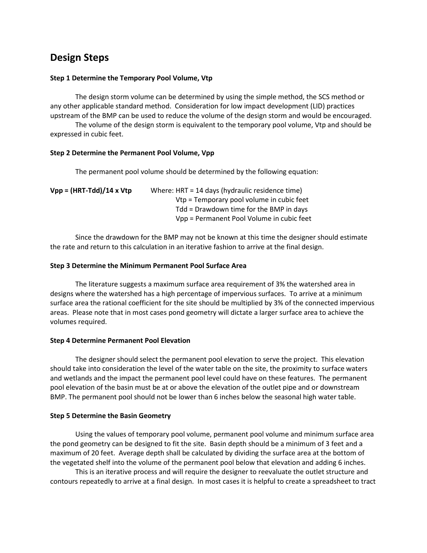# **Design Steps**

## **Step 1 Determine the Temporary Pool Volume, Vtp**

The design storm volume can be determined by using the simple method, the SCS method or any other applicable standard method. Consideration for low impact development (LID) practices upstream of the BMP can be used to reduce the volume of the design storm and would be encouraged.

The volume of the design storm is equivalent to the temporary pool volume, Vtp and should be expressed in cubic feet.

## **Step 2 Determine the Permanent Pool Volume, Vpp**

The permanent pool volume should be determined by the following equation:

| $Vpp = (HRT-Tdd)/14 \times Vtp$ | Where: HRT = 14 days (hydraulic residence time) |
|---------------------------------|-------------------------------------------------|
|                                 | Vtp = Temporary pool volume in cubic feet       |
|                                 | Tdd = Drawdown time for the BMP in days         |
|                                 | Vpp = Permanent Pool Volume in cubic feet       |

Since the drawdown for the BMP may not be known at this time the designer should estimate the rate and return to this calculation in an iterative fashion to arrive at the final design.

## **Step 3 Determine the Minimum Permanent Pool Surface Area**

The literature suggests a maximum surface area requirement of 3% the watershed area in designs where the watershed has a high percentage of impervious surfaces. To arrive at a minimum surface area the rational coefficient for the site should be multiplied by 3% of the connected impervious areas. Please note that in most cases pond geometry will dictate a larger surface area to achieve the volumes required.

#### **Step 4 Determine Permanent Pool Elevation**

The designer should select the permanent pool elevation to serve the project. This elevation should take into consideration the level of the water table on the site, the proximity to surface waters and wetlands and the impact the permanent pool level could have on these features. The permanent pool elevation of the basin must be at or above the elevation of the outlet pipe and or downstream BMP. The permanent pool should not be lower than 6 inches below the seasonal high water table.

#### **Step 5 Determine the Basin Geometry**

Using the values of temporary pool volume, permanent pool volume and minimum surface area the pond geometry can be designed to fit the site. Basin depth should be a minimum of 3 feet and a maximum of 20 feet. Average depth shall be calculated by dividing the surface area at the bottom of the vegetated shelf into the volume of the permanent pool below that elevation and adding 6 inches.

This is an iterative process and will require the designer to reevaluate the outlet structure and contours repeatedly to arrive at a final design. In most cases it is helpful to create a spreadsheet to tract